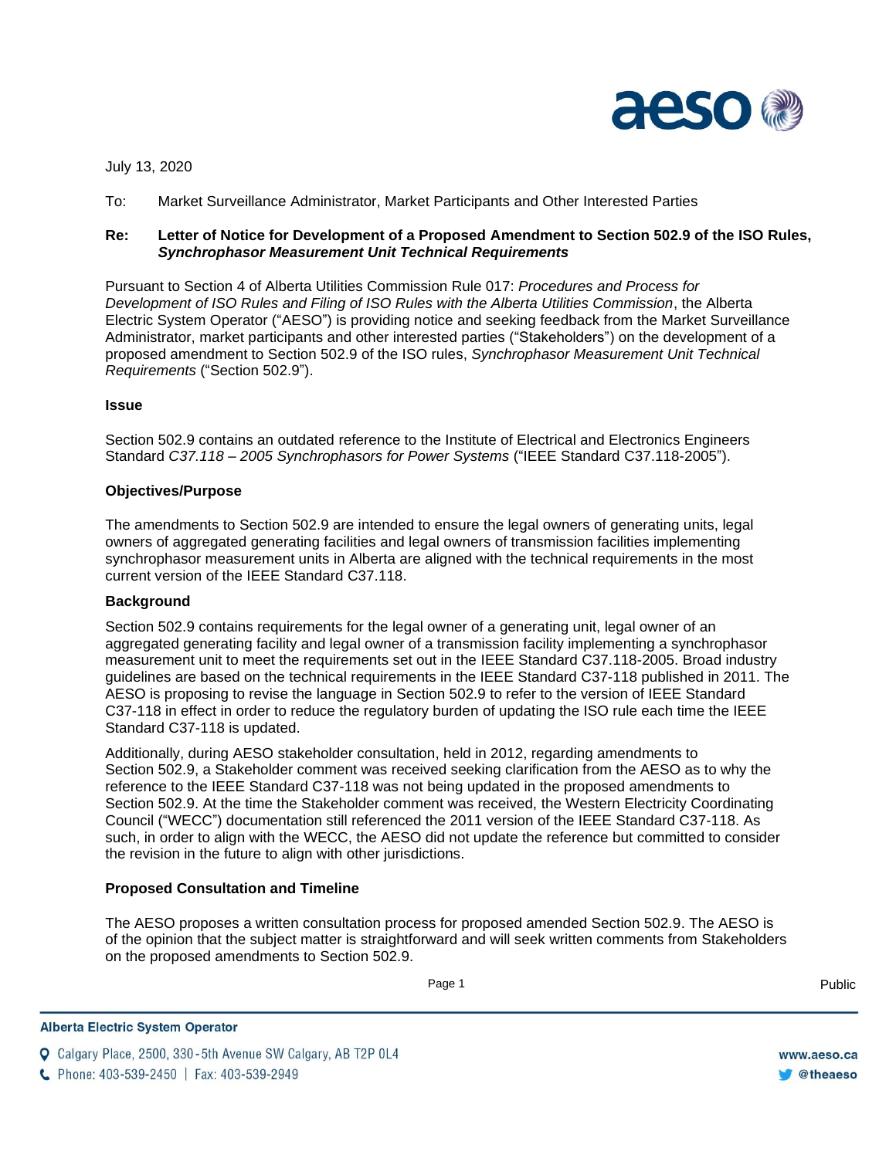

July 13, 2020

To: Market Surveillance Administrator, Market Participants and Other Interested Parties

# **Re: Letter of Notice for Development of a Proposed Amendment to Section 502.9 of the ISO Rules,**  *Synchrophasor Measurement Unit Technical Requirements*

Pursuant to Section 4 of Alberta Utilities Commission Rule 017: *Procedures and Process for Development of ISO Rules and Filing of ISO Rules with the Alberta Utilities Commission*, the Alberta Electric System Operator ("AESO") is providing notice and seeking feedback from the Market Surveillance Administrator, market participants and other interested parties ("Stakeholders") on the development of a proposed amendment to Section 502.9 of the ISO rules, *Synchrophasor Measurement Unit Technical Requirements* ("Section 502.9").

#### **Issue**

Section 502.9 contains an outdated reference to the Institute of Electrical and Electronics Engineers Standard *C37.118 – 2005 Synchrophasors for Power Systems* ("IEEE Standard C37.118-2005").

#### **Objectives/Purpose**

The amendments to Section 502.9 are intended to ensure the legal owners of generating units, legal owners of aggregated generating facilities and legal owners of transmission facilities implementing synchrophasor measurement units in Alberta are aligned with the technical requirements in the most current version of the IEEE Standard C37.118.

### **Background**

Section 502.9 contains requirements for the legal owner of a generating unit, legal owner of an aggregated generating facility and legal owner of a transmission facility implementing a synchrophasor measurement unit to meet the requirements set out in the IEEE Standard C37.118-2005. Broad industry guidelines are based on the technical requirements in the IEEE Standard C37-118 published in 2011. The AESO is proposing to revise the language in Section 502.9 to refer to the version of IEEE Standard C37-118 in effect in order to reduce the regulatory burden of updating the ISO rule each time the IEEE Standard C37-118 is updated.

Additionally, during AESO stakeholder consultation, held in 2012, regarding amendments to Section 502.9, a Stakeholder comment was received seeking clarification from the AESO as to why the reference to the IEEE Standard C37-118 was not being updated in the proposed amendments to Section 502.9. At the time the Stakeholder comment was received, the Western Electricity Coordinating Council ("WECC") documentation still referenced the 2011 version of the IEEE Standard C37-118. As such, in order to align with the WECC, the AESO did not update the reference but committed to consider the revision in the future to align with other jurisdictions.

### **Proposed Consultation and Timeline**

The AESO proposes a written consultation process for proposed amended Section 502.9. The AESO is of the opinion that the subject matter is straightforward and will seek written comments from Stakeholders on the proposed amendments to Section 502.9.

Enter Football Page 1 Public Public Public Public Public Public Public Public Public Public Public Public Public Public Public Public Public Public Public Public Public Public Public Public Public Public Public Public Publ

**Q** Calgary Place, 2500, 330-5th Avenue SW Calgary, AB T2P 0L4

C Phone: 403-539-2450 | Fax: 403-539-2949